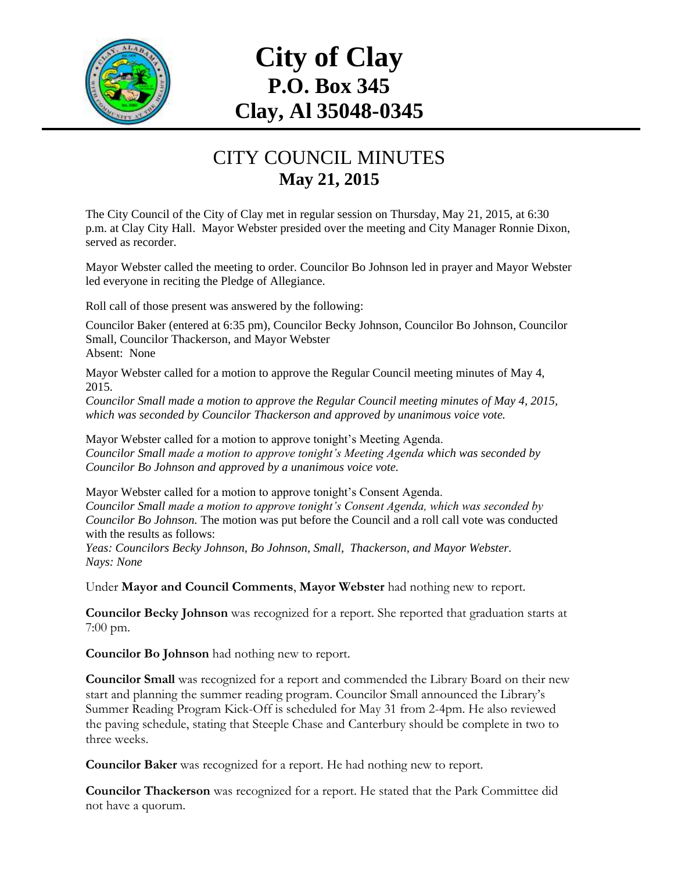

## **City of Clay P.O. Box 345 Clay, Al 35048-0345**

## CITY COUNCIL MINUTES **May 21, 2015**

The City Council of the City of Clay met in regular session on Thursday, May 21, 2015, at 6:30 p.m. at Clay City Hall. Mayor Webster presided over the meeting and City Manager Ronnie Dixon, served as recorder.

Mayor Webster called the meeting to order. Councilor Bo Johnson led in prayer and Mayor Webster led everyone in reciting the Pledge of Allegiance.

Roll call of those present was answered by the following:

Councilor Baker (entered at 6:35 pm), Councilor Becky Johnson, Councilor Bo Johnson, Councilor Small, Councilor Thackerson, and Mayor Webster Absent: None

Mayor Webster called for a motion to approve the Regular Council meeting minutes of May 4, 2015.

*Councilor Small made a motion to approve the Regular Council meeting minutes of May 4, 2015, which was seconded by Councilor Thackerson and approved by unanimous voice vote.*

Mayor Webster called for a motion to approve tonight's Meeting Agenda. *Councilor Small made a motion to approve tonight's Meeting Agenda which was seconded by Councilor Bo Johnson and approved by a unanimous voice vote.*

Mayor Webster called for a motion to approve tonight's Consent Agenda. *Councilor Small made a motion to approve tonight's Consent Agenda, which was seconded by Councilor Bo Johnson.* The motion was put before the Council and a roll call vote was conducted with the results as follows:

*Yeas: Councilors Becky Johnson, Bo Johnson, Small, Thackerson, and Mayor Webster. Nays: None*

Under **Mayor and Council Comments**, **Mayor Webster** had nothing new to report.

**Councilor Becky Johnson** was recognized for a report. She reported that graduation starts at 7:00 pm.

**Councilor Bo Johnson** had nothing new to report.

**Councilor Small** was recognized for a report and commended the Library Board on their new start and planning the summer reading program. Councilor Small announced the Library's Summer Reading Program Kick-Off is scheduled for May 31 from 2-4pm. He also reviewed the paving schedule, stating that Steeple Chase and Canterbury should be complete in two to three weeks.

**Councilor Baker** was recognized for a report. He had nothing new to report.

**Councilor Thackerson** was recognized for a report. He stated that the Park Committee did not have a quorum.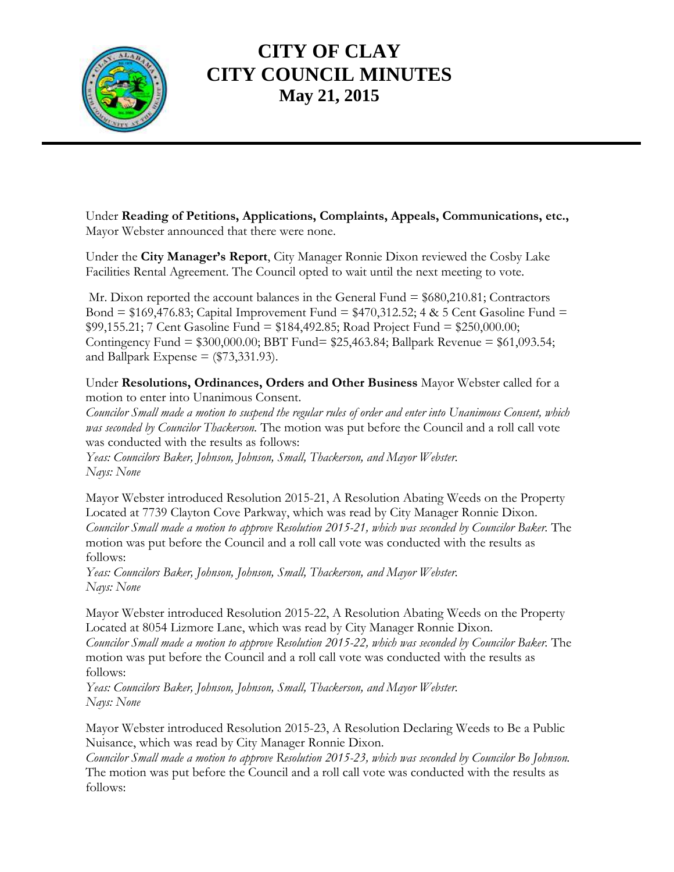

## **CITY OF CLAY CITY COUNCIL MINUTES May 21, 2015**

Under **Reading of Petitions, Applications, Complaints, Appeals, Communications, etc.,** Mayor Webster announced that there were none.

Under the **City Manager's Report**, City Manager Ronnie Dixon reviewed the Cosby Lake Facilities Rental Agreement. The Council opted to wait until the next meeting to vote.

Mr. Dixon reported the account balances in the General Fund = \$680,210.81; Contractors Bond =  $$169,476.83$ ; Capital Improvement Fund =  $$470,312.52$ ; 4 & 5 Cent Gasoline Fund = \$99,155.21; 7 Cent Gasoline Fund = \$184,492.85; Road Project Fund = \$250,000.00; Contingency Fund = \$300,000.00; BBT Fund= \$25,463.84; Ballpark Revenue = \$61,093.54; and Ballpark Expense  $=$  (\$73,331.93).

Under **Resolutions, Ordinances, Orders and Other Business** Mayor Webster called for a motion to enter into Unanimous Consent.

*Councilor Small made a motion to suspend the regular rules of order and enter into Unanimous Consent, which was seconded by Councilor Thackerson.* The motion was put before the Council and a roll call vote was conducted with the results as follows:

*Yeas: Councilors Baker, Johnson, Johnson, Small, Thackerson, and Mayor Webster. Nays: None*

Mayor Webster introduced Resolution 2015-21, A Resolution Abating Weeds on the Property Located at 7739 Clayton Cove Parkway, which was read by City Manager Ronnie Dixon. *Councilor Small made a motion to approve Resolution 2015-21, which was seconded by Councilor Baker.* The motion was put before the Council and a roll call vote was conducted with the results as follows:

*Yeas: Councilors Baker, Johnson, Johnson, Small, Thackerson, and Mayor Webster. Nays: None*

Mayor Webster introduced Resolution 2015-22, A Resolution Abating Weeds on the Property Located at 8054 Lizmore Lane, which was read by City Manager Ronnie Dixon. *Councilor Small made a motion to approve Resolution 2015-22, which was seconded by Councilor Baker.* The motion was put before the Council and a roll call vote was conducted with the results as follows:

*Yeas: Councilors Baker, Johnson, Johnson, Small, Thackerson, and Mayor Webster. Nays: None*

Mayor Webster introduced Resolution 2015-23, A Resolution Declaring Weeds to Be a Public Nuisance, which was read by City Manager Ronnie Dixon.

*Councilor Small made a motion to approve Resolution 2015-23, which was seconded by Councilor Bo Johnson.*  The motion was put before the Council and a roll call vote was conducted with the results as follows: